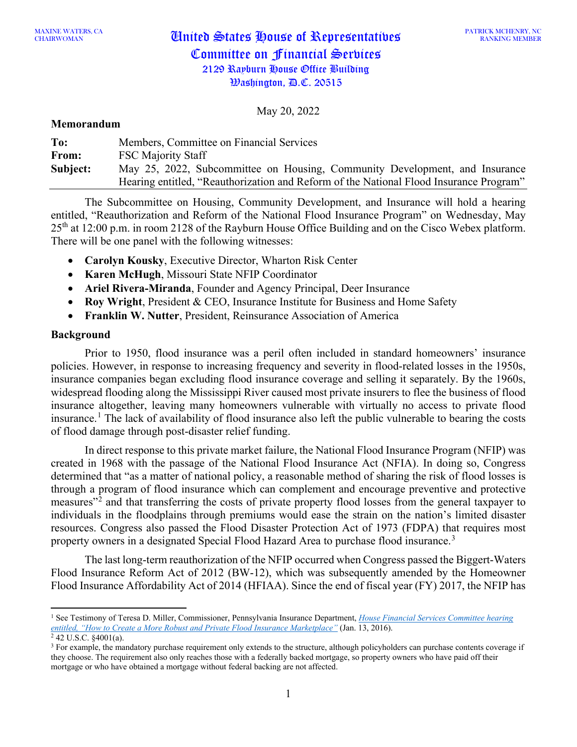May 20, 2022

#### **Memorandum**

| To:      | Members, Committee on Financial Services                                               |
|----------|----------------------------------------------------------------------------------------|
| From:    | <b>FSC Majority Staff</b>                                                              |
| Subject: | May 25, 2022, Subcommittee on Housing, Community Development, and Insurance            |
|          | Hearing entitled, "Reauthorization and Reform of the National Flood Insurance Program" |

The Subcommittee on Housing, Community Development, and Insurance will hold a hearing entitled, "Reauthorization and Reform of the National Flood Insurance Program" on Wednesday, May 25<sup>th</sup> at 12:00 p.m. in room 2128 of the Rayburn House Office Building and on the Cisco Webex platform. There will be one panel with the following witnesses:

- **Carolyn Kousky**, Executive Director, Wharton Risk Center
- **Karen McHugh**, Missouri State NFIP Coordinator
- **Ariel Rivera-Miranda**, Founder and Agency Principal, Deer Insurance
- **Roy Wright**, President & CEO, Insurance Institute for Business and Home Safety
- **Franklin W. Nutter**, President, Reinsurance Association of America

## **Background**

Prior to 1950, flood insurance was a peril often included in standard homeowners' insurance policies. However, in response to increasing frequency and severity in flood-related losses in the 1950s, insurance companies began excluding flood insurance coverage and selling it separately. By the 1960s, widespread flooding along the Mississippi River caused most private insurers to flee the business of flood insurance altogether, leaving many homeowners vulnerable with virtually no access to private flood insurance.<sup>[1](#page-0-0)</sup> The lack of availability of flood insurance also left the public vulnerable to bearing the costs of flood damage through post-disaster relief funding.

In direct response to this private market failure, the National Flood Insurance Program (NFIP) was created in 1968 with the passage of the National Flood Insurance Act (NFIA). In doing so, Congress determined that "as a matter of national policy, a reasonable method of sharing the risk of flood losses is through a program of flood insurance which can complement and encourage preventive and protective measures"[2](#page-0-1) and that transferring the costs of private property flood losses from the general taxpayer to individuals in the floodplains through premiums would ease the strain on the nation's limited disaster resources. Congress also passed the Flood Disaster Protection Act of 1973 (FDPA) that requires most property owners in a designated Special Flood Hazard Area to purchase flood insurance.<sup>[3](#page-0-2)</sup>

The last long-term reauthorization of the NFIP occurred when Congress passed the Biggert-Waters Flood Insurance Reform Act of 2012 (BW-12), which was subsequently amended by the Homeowner Flood Insurance Affordability Act of 2014 (HFIAA). Since the end of fiscal year (FY) 2017, the NFIP has

<span id="page-0-0"></span><sup>1</sup> See Testimony of Teresa D. Miller, Commissioner, Pennsylvania Insurance Department, *[House Financial Services Committee hearing](https://www.naic.org/documents/government_relations_160113_testimony_private_flood_insurance.pdf)  [entitled, "How to Create a More Robust and Private Flood Insurance Marketplace"](https://www.naic.org/documents/government_relations_160113_testimony_private_flood_insurance.pdf)* (Jan. 13, 2016).

<span id="page-0-2"></span><span id="page-0-1"></span> $2$  42 U.S.C.  $\S 4001(a)$ .

<sup>&</sup>lt;sup>3</sup> For example, the mandatory purchase requirement only extends to the structure, although policyholders can purchase contents coverage if they choose. The requirement also only reaches those with a federally backed mortgage, so property owners who have paid off their mortgage or who have obtained a mortgage without federal backing are not affected.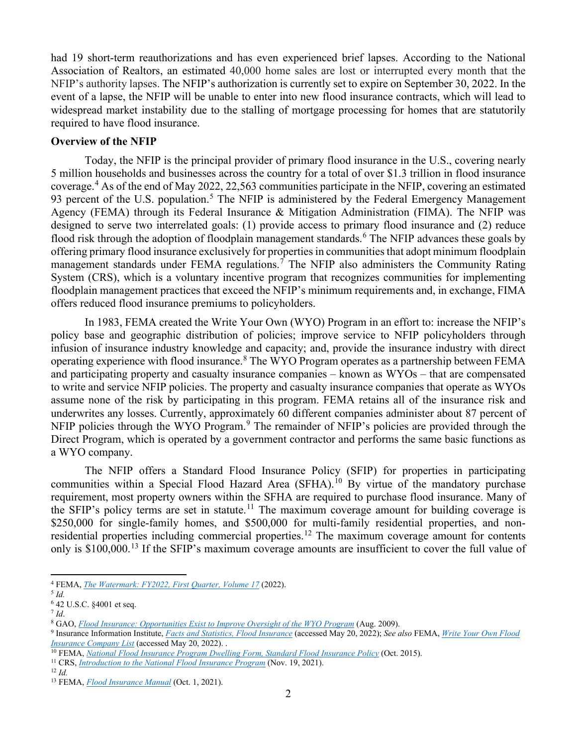had 19 short-term reauthorizations and has even experienced brief lapses. According to the National Association of Realtors, an estimated 40,000 home sales are lost or interrupted every month that the NFIP's authority lapses. The NFIP's authorization is currently set to expire on September 30, 2022. In the event of a lapse, the NFIP will be unable to enter into new flood insurance contracts, which will lead to widespread market instability due to the stalling of mortgage processing for homes that are statutorily required to have flood insurance.

## **Overview of the NFIP**

Today, the NFIP is the principal provider of primary flood insurance in the U.S., covering nearly 5 million households and businesses across the country for a total of over \$1.3 trillion in flood insurance coverage.[4](#page-1-0) As of the end of May 2022, 22,563 communities participate in the NFIP, covering an estimated 93 percent of the U.S. population.<sup>[5](#page-1-1)</sup> The NFIP is administered by the Federal Emergency Management Agency (FEMA) through its Federal Insurance & Mitigation Administration (FIMA). The NFIP was designed to serve two interrelated goals: (1) provide access to primary flood insurance and (2) reduce flood risk through the adoption of floodplain management standards.<sup>[6](#page-1-2)</sup> The NFIP advances these goals by offering primary flood insurance exclusively for properties in communities that adopt minimum floodplain management standards under FEMA regulations.<sup>[7](#page-1-3)</sup> The NFIP also administers the Community Rating System (CRS), which is a voluntary incentive program that recognizes communities for implementing floodplain management practices that exceed the NFIP's minimum requirements and, in exchange, FIMA offers reduced flood insurance premiums to policyholders.

In 1983, FEMA created the Write Your Own (WYO) Program in an effort to: increase the NFIP's policy base and geographic distribution of policies; improve service to NFIP policyholders through infusion of insurance industry knowledge and capacity; and, provide the insurance industry with direct operating experience with flood insurance.[8](#page-1-4) The WYO Program operates as a partnership between FEMA and participating property and casualty insurance companies – known as WYOs – that are compensated to write and service NFIP policies. The property and casualty insurance companies that operate as WYOs assume none of the risk by participating in this program. FEMA retains all of the insurance risk and underwrites any losses. Currently, approximately 60 different companies administer about 87 percent of NFIP policies through the WYO Program.<sup>[9](#page-1-5)</sup> The remainder of NFIP's policies are provided through the Direct Program, which is operated by a government contractor and performs the same basic functions as a WYO company.

The NFIP offers a Standard Flood Insurance Policy (SFIP) for properties in participating communities within a Special Flood Hazard Area (SFHA).<sup>[10](#page-1-6)</sup> By virtue of the mandatory purchase requirement, most property owners within the SFHA are required to purchase flood insurance. Many of the SFIP's policy terms are set in statute.<sup>[11](#page-1-7)</sup> The maximum coverage amount for building coverage is \$250,000 for single-family homes, and \$500,000 for multi-family residential properties, and nonresidential properties including commercial properties.[12](#page-1-8) The maximum coverage amount for contents only is \$100,000.<sup>[13](#page-1-9)</sup> If the SFIP's maximum coverage amounts are insufficient to cover the full value of

<span id="page-1-0"></span><sup>4</sup> FEMA, *[The Watermark: FY2022, First Quarter, Volume 17](https://www.fema.gov/sites/default/files/documents/fema_fy2022-q1-watermark.pdf)* (2022).

<span id="page-1-1"></span><sup>5</sup> *Id.*

<span id="page-1-2"></span><sup>6</sup> 42 U.S.C. §4001 et seq.

<span id="page-1-3"></span> $^7$  *Id.* 

<span id="page-1-4"></span><sup>8</sup> GAO, *[Flood Insurance: Opportunities Exist to Improve Oversight](https://www.gao.gov/assets/gao-09-455.pdf) of the WYO Program* (Aug. 2009).

<span id="page-1-5"></span><sup>9</sup> Insurance Information Institute, *[Facts and Statistics, Flood Insurance](https://sgp.fas.org/crs/homesec/R45242.pdf)* (accessed May 20, 2022); *See also* FEMA, *[Write Your Own Flood](https://nfipservices.floodsmart.gov/wyo-program-list)  [Insurance Company List](https://nfipservices.floodsmart.gov/wyo-program-list)* (accessed May 20, 2022). .

<span id="page-1-6"></span><sup>10</sup> FEMA, *[National Flood Insurance Program Dwelling Form, Standard Flood Insurance Policy](https://www.fema.gov/sites/default/files/2020-05/F-122_Dwelling_SFIP_102015.pdf)* (Oct. 2015).

<span id="page-1-7"></span><sup>11</sup> CRS, *[Introduction to the National Flood Insurance Program](https://sgp.fas.org/crs/homesec/R44593.pdf)* (Nov. 19, 2021).

<span id="page-1-8"></span><sup>12</sup> *Id.*

<span id="page-1-9"></span><sup>13</sup> FEMA, *Flood [Insurance Manual](https://www.fema.gov/flood-insurance/work-with-nfip/manuals)* (Oct. 1, 2021).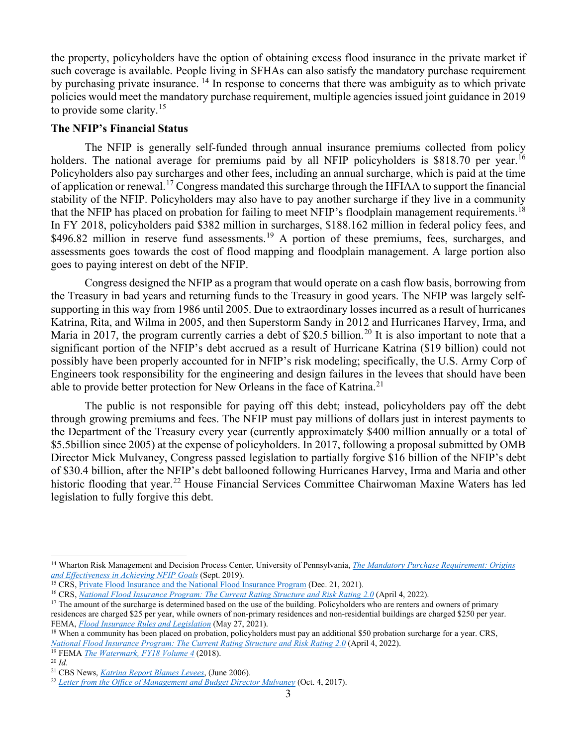the property, policyholders have the option of obtaining excess flood insurance in the private market if such coverage is available. People living in SFHAs can also satisfy the mandatory purchase requirement by purchasing private insurance. [14](#page-2-0) In response to concerns that there was ambiguity as to which private policies would meet the mandatory purchase requirement, multiple agencies issued joint guidance in 2019 to provide some clarity. [15](#page-2-1)

#### **The NFIP's Financial Status**

The NFIP is generally self-funded through annual insurance premiums collected from policy holders. The national average for premiums paid by all NFIP policyholders is \$818.70 per year.<sup>[16](#page-2-2)</sup> Policyholders also pay surcharges and other fees, including an annual surcharge, which is paid at the time of application or renewal.[17](#page-2-3) Congress mandated this surcharge through the HFIAA to support the financial stability of the NFIP. Policyholders may also have to pay another surcharge if they live in a community that the NFIP has placed on probation for failing to meet NFIP's floodplain management requirements.<sup>[18](#page-2-4)</sup> In FY 2018, policyholders paid \$382 million in surcharges, \$188.162 million in federal policy fees, and \$496.82 million in reserve fund assessments.<sup>[19](#page-2-5)</sup> A portion of these premiums, fees, surcharges, and assessments goes towards the cost of flood mapping and floodplain management. A large portion also goes to paying interest on debt of the NFIP.

Congress designed the NFIP as a program that would operate on a cash flow basis, borrowing from the Treasury in bad years and returning funds to the Treasury in good years. The NFIP was largely selfsupporting in this way from 1986 until 2005. Due to extraordinary losses incurred as a result of hurricanes Katrina, Rita, and Wilma in 2005, and then Superstorm Sandy in 2012 and Hurricanes Harvey, Irma, and Maria in [20](#page-2-6)17, the program currently carries a debt of \$20.5 billion.<sup>20</sup> It is also important to note that a significant portion of the NFIP's debt accrued as a result of Hurricane Katrina (\$19 billion) could not possibly have been properly accounted for in NFIP's risk modeling; specifically, the U.S. Army Corp of Engineers took responsibility for the engineering and design failures in the levees that should have been able to provide better protection for New Orleans in the face of Katrina.<sup>[21](#page-2-7)</sup>

The public is not responsible for paying off this debt; instead, policyholders pay off the debt through growing premiums and fees. The NFIP must pay millions of dollars just in interest payments to the Department of the Treasury every year (currently approximately \$400 million annually or a total of \$5.5billion since 2005) at the expense of policyholders. In 2017, following a proposal submitted by OMB Director Mick Mulvaney, Congress passed legislation to partially forgive \$16 billion of the NFIP's debt of \$30.4 billion, after the NFIP's debt ballooned following Hurricanes Harvey, Irma and Maria and other historic flooding that year.<sup>[22](#page-2-8)</sup> House Financial Services Committee Chairwoman Maxine Waters has led legislation to fully forgive this debt.

<span id="page-2-0"></span><sup>14</sup> Wharton Risk Management and Decision Process Center, University of Pennsylvania, *[The Mandatory Purchase Requirement: Origins](https://riskcenter.wharton.upenn.edu/wp-content/uploads/2019/10/The-Mandatory-Purchase-Requirement-September-2019.pdf)* 

<span id="page-2-2"></span><span id="page-2-1"></span><sup>&</sup>lt;sup>15</sup> CRS, *Private Flood Insurance and the National Flood Insurance Program (Dec. 21, 2021).*<br><sup>16</sup> CRS, *[National Flood Insurance Program: The Current Rating Structure and Risk Rating 2.0](https://sgp.fas.org/crs/homesec/R45999.pdf) (April 4, 2022).* 

<span id="page-2-3"></span><sup>&</sup>lt;sup>17</sup> The amount of the surcharge is determined based on the use of the building. Policyholders who are renters and owners of primary residences are charged \$25 per year, while owners of non-primary residences and non-residential buildings are charged \$250 per year. FEMA, *Flood Insurance Rules and Legislation* (May 27, 2021). <sup>18</sup> When a community has been placed on probation, policyholders must pay an additional \$50 probation surcharge for a year. CRS,

<span id="page-2-4"></span>*National Flood Insurance Program: The Current Rating Structure and Risk Rating 2.0* (April 4, 2022). 19 FEMA *[The Watermark, FY18 Volume 4](https://www.fema.gov/sites/default/files/2020-05/fima-watermark-2018-q4.pdf)* (2018).

<span id="page-2-6"></span><span id="page-2-5"></span><sup>20</sup> *Id.* 

<span id="page-2-7"></span><sup>21</sup> CBS News, *[Katrina Report Blames Levees](https://www.cbsnews.com/news/katrina-report-blames-levees/)*, (June 2006).

<span id="page-2-8"></span><sup>22</sup> *[Letter from the Office of Management and Budget Director Mulvaney](https://www.whitehouse.gov/wp-content/uploads/2017/11/letter_regarding_additional_funding_and_reforms_to_address_impacts_of_recent_natural_disasters.pdf)* (Oct. 4, 2017).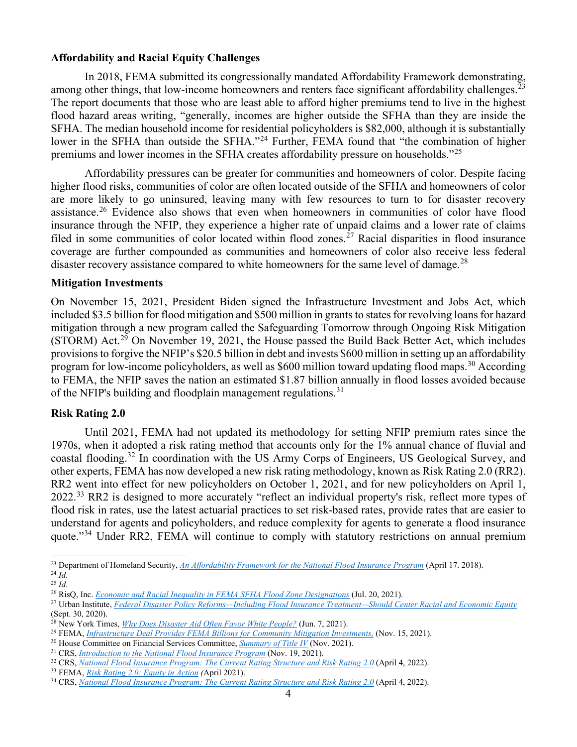## **Affordability and Racial Equity Challenges**

In 2018, FEMA submitted its congressionally mandated Affordability Framework demonstrating, among other things, that low-income homeowners and renters face significant affordability challenges.<sup>[23](#page-3-0)</sup> The report documents that those who are least able to afford higher premiums tend to live in the highest flood hazard areas writing, "generally, incomes are higher outside the SFHA than they are inside the SFHA. The median household income for residential policyholders is \$82,000, although it is substantially lower in the SFHA than outside the SFHA."<sup>[24](#page-3-1)</sup> Further, FEMA found that "the combination of higher premiums and lower incomes in the SFHA creates affordability pressure on households."[25](#page-3-2)

Affordability pressures can be greater for communities and homeowners of color. Despite facing higher flood risks, communities of color are often located outside of the SFHA and homeowners of color are more likely to go uninsured, leaving many with few resources to turn to for disaster recovery assistance.<sup>[26](#page-3-3)</sup> Evidence also shows that even when homeowners in communities of color have flood insurance through the NFIP, they experience a higher rate of unpaid claims and a lower rate of claims filed in some communities of color located within flood zones.<sup>[27](#page-3-4)</sup> Racial disparities in flood insurance coverage are further compounded as communities and homeowners of color also receive less federal disaster recovery assistance compared to white homeowners for the same level of damage.<sup>[28](#page-3-5)</sup>

## **Mitigation Investments**

On November 15, 2021, President Biden signed the Infrastructure Investment and Jobs Act, which included \$3.5 billion for flood mitigation and \$500 million in grants to states for revolving loans for hazard mitigation through a new program called the Safeguarding Tomorrow through Ongoing Risk Mitigation (STORM) Act.<sup>[29](#page-3-6)</sup> On November 19, 2021, the House passed the Build Back Better Act, which includes provisions to forgive the NFIP's \$20.5 billion in debt and invests \$600 million in setting up an affordability program for low-income policyholders, as well as \$600 million toward updating flood maps.<sup>[30](#page-3-7)</sup> According to FEMA, the NFIP saves the nation an estimated \$1.87 billion annually in flood losses avoided because of the NFIP's building and floodplain management regulations.<sup>[31](#page-3-8)</sup>

#### **Risk Rating 2.0**

Until 2021, FEMA had not updated its methodology for setting NFIP premium rates since the 1970s, when it adopted a risk rating method that accounts only for the 1% annual chance of fluvial and coastal flooding.[32](#page-3-9) In coordination with the US Army Corps of Engineers, US Geological Survey, and other experts, FEMA has now developed a new risk rating methodology, known as Risk Rating 2.0 (RR2). RR2 went into effect for new policyholders on October 1, 2021, and for new policyholders on April 1, 2022.[33](#page-3-10) RR2 is designed to more accurately "reflect an individual property's risk, reflect more types of flood risk in rates, use the latest actuarial practices to set risk-based rates, provide rates that are easier to understand for agents and policyholders, and reduce complexity for agents to generate a flood insurance quote."<sup>[34](#page-3-11)</sup> Under RR2, FEMA will continue to comply with statutory restrictions on annual premium

<span id="page-3-0"></span><sup>23</sup> Department of Homeland Security, *An Affordability Framework for the National Flood Insurance Program* (April 17. 2018). 24 *Id.*

<span id="page-3-2"></span><span id="page-3-1"></span><sup>25</sup> *Id.*

<span id="page-3-3"></span><sup>26</sup> RisQ, Inc. *[Economic and Racial Inequality in FEMA SFHA Flood Zone Designations](https://risq-inc.medium.com/economic-and-racial-inequality-in-fema-sfha-flood-zone-designations-450b3019a78d)* (Jul. 20, 2021).

<span id="page-3-4"></span><sup>27</sup> Urban Institute, *[Federal Disaster Policy Reforms—Including Flood Insurance Treatment—Should Center Racial and Economic Equity](https://www.urban.org/urban-wire/federal-disaster-policy-reforms-including-flood-insurance-treatment-should-center-racial-and-economic-equity)* (Sept. 30, 2020).

<span id="page-3-5"></span><sup>28</sup> New York Times, *[Why Does Disaster Aid Often Favor White People?](https://www.nytimes.com/2021/06/07/climate/FEMA-race-climate.html)* (Jun. 7, 2021).

<span id="page-3-6"></span><sup>29</sup> FEMA, *[Infrastructure Deal Provides FEMA Billions for Community Mitigation Investments,](https://www.fema.gov/press-release/20211115/infrastructure-deal-provides-fema-billions-community-mitigation-investments)* (Nov. 15, 2021).

<span id="page-3-7"></span><sup>&</sup>lt;sup>30</sup> House Committee on Financial Services Committee, *[Summary of Title IV](https://financialservices.house.gov/uploadedfiles/h.r._5376_bbba_summary_of_title_iv.pdf)* (Nov. 2021).<br><sup>31</sup> CRS, *Introduction to the National Flood Insurance Program* (Nov. 19, 2021).

<span id="page-3-8"></span>

<span id="page-3-9"></span><sup>&</sup>lt;sup>32</sup> CRS, *[National Flood Insurance Program: The Current Rating Structure and Risk Rating 2.0](https://sgp.fas.org/crs/homesec/R45999.pdf)* (April 4, 2022).

<span id="page-3-10"></span><sup>33</sup> FEMA, *[Risk Rating 2.0: Equity in Action](https://www.fema.gov/flood-insurance/risk-rating) (*April 2021).

<span id="page-3-11"></span><sup>34</sup> CRS, *[National Flood Insurance Program: The Current Rating Structure and Risk Rating 2.0](https://sgp.fas.org/crs/homesec/R45999.pdf)* (April 4, 2022).